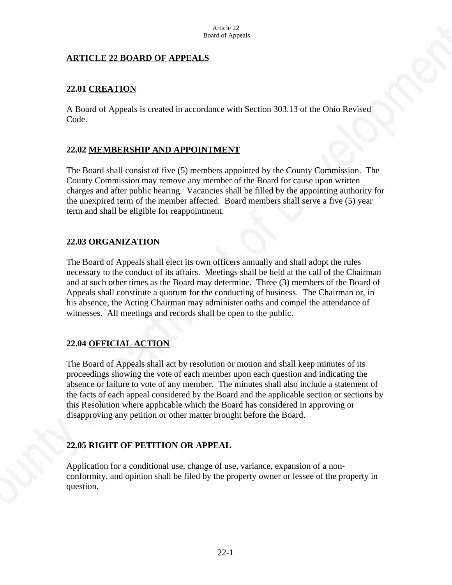### **ARTICLE 22 BOARD OF APPEALS**

## **22.01 CREATION**

A Board of Appeals is created in accordance with Section 303.13 of the Ohio Revised Code.

### **22.02 MEMBERSHIP AND APPOINTMENT**

The Board shall consist of five (5) members appointed by the County Commission. The County Commission may remove any member of the Board for cause upon written charges and after public hearing. Vacancies shall be filled by the appointing authority for the unexpired term of the member affected. Board members shall serve a five (5) year term and shall be eligible for reappointment.

## **22.03 ORGANIZATION**

The Board of Appeals shall elect its own officers annually and shall adopt the rules necessary to the conduct of its affairs. Meetings shall be held at the call of the Chairman and at such other times as the Board may determine. Three (3) members of the Board of Appeals shall constitute a quorum for the conducting of business. The Chairman or, in his absence, the Acting Chairman may administer oaths and compel the attendance of witnesses. All meetings and records shall be open to the public.

### **22.04 OFFICIAL ACTION**

The Board of Appeals shall act by resolution or motion and shall keep minutes of its proceedings showing the vote of each member upon each question and indicating the absence or failure to vote of any member. The minutes shall also include a statement of the facts of each appeal considered by the Board and the applicable section or sections by this Resolution where applicable which the Board has considered in approving or disapproving any petition or other matter brought before the Board.

## **22.05 RIGHT OF PETITION OR APPEAL**

Application for a conditional use, change of use, variance, expansion of a nonconformity, and opinion shall be filed by the property owner or lessee of the property in question.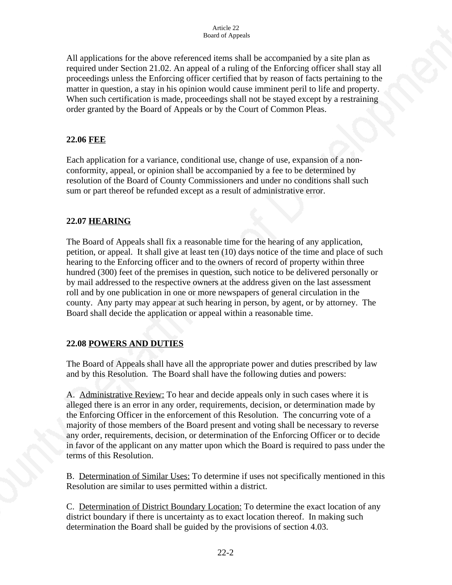All applications for the above referenced items shall be accompanied by a site plan as required under Section 21.02. An appeal of a ruling of the Enforcing officer shall stay all proceedings unless the Enforcing officer certified that by reason of facts pertaining to the matter in question, a stay in his opinion would cause imminent peril to life and property. When such certification is made, proceedings shall not be stayed except by a restraining order granted by the Board of Appeals or by the Court of Common Pleas.

## **22.06 FEE**

Each application for a variance, conditional use, change of use, expansion of a nonconformity, appeal, or opinion shall be accompanied by a fee to be determined by resolution of the Board of County Commissioners and under no conditions shall such sum or part thereof be refunded except as a result of administrative error.

## **22.07 HEARING**

The Board of Appeals shall fix a reasonable time for the hearing of any application, petition, or appeal. It shall give at least ten (10) days notice of the time and place of such hearing to the Enforcing officer and to the owners of record of property within three hundred (300) feet of the premises in question, such notice to be delivered personally or by mail addressed to the respective owners at the address given on the last assessment roll and by one publication in one or more newspapers of general circulation in the county. Any party may appear at such hearing in person, by agent, or by attorney. The Board shall decide the application or appeal within a reasonable time.

## **22.08 POWERS AND DUTIES**

The Board of Appeals shall have all the appropriate power and duties prescribed by law and by this Resolution. The Board shall have the following duties and powers:

A. Administrative Review: To hear and decide appeals only in such cases where it is alleged there is an error in any order, requirements, decision, or determination made by the Enforcing Officer in the enforcement of this Resolution. The concurring vote of a majority of those members of the Board present and voting shall be necessary to reverse any order, requirements, decision, or determination of the Enforcing Officer or to decide in favor of the applicant on any matter upon which the Board is required to pass under the terms of this Resolution.

B. Determination of Similar Uses: To determine if uses not specifically mentioned in this Resolution are similar to uses permitted within a district.

C. Determination of District Boundary Location: To determine the exact location of any district boundary if there is uncertainty as to exact location thereof. In making such determination the Board shall be guided by the provisions of section 4.03.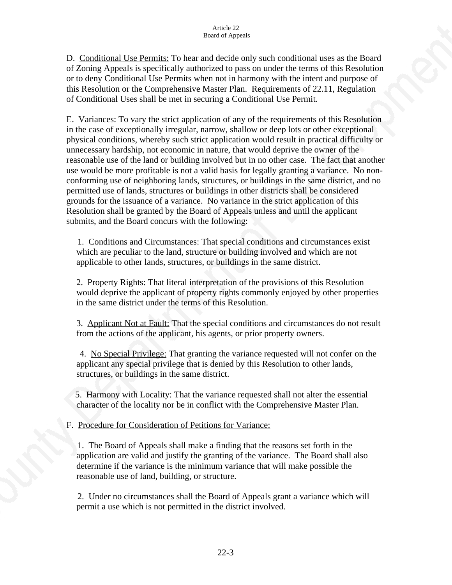D. Conditional Use Permits: To hear and decide only such conditional uses as the Board of Zoning Appeals is specifically authorized to pass on under the terms of this Resolution or to deny Conditional Use Permits when not in harmony with the intent and purpose of this Resolution or the Comprehensive Master Plan. Requirements of 22.11, Regulation of Conditional Uses shall be met in securing a Conditional Use Permit.

E. Variances: To vary the strict application of any of the requirements of this Resolution in the case of exceptionally irregular, narrow, shallow or deep lots or other exceptional physical conditions, whereby such strict application would result in practical difficulty or unnecessary hardship, not economic in nature, that would deprive the owner of the reasonable use of the land or building involved but in no other case. The fact that another use would be more profitable is not a valid basis for legally granting a variance. No nonconforming use of neighboring lands, structures, or buildings in the same district, and no permitted use of lands, structures or buildings in other districts shall be considered grounds for the issuance of a variance. No variance in the strict application of this Resolution shall be granted by the Board of Appeals unless and until the applicant submits, and the Board concurs with the following:

 1. Conditions and Circumstances: That special conditions and circumstances exist which are peculiar to the land, structure or building involved and which are not applicable to other lands, structures, or buildings in the same district.

2. Property Rights: That literal interpretation of the provisions of this Resolution would deprive the applicant of property rights commonly enjoyed by other properties in the same district under the terms of this Resolution.

3. Applicant Not at Fault: That the special conditions and circumstances do not result from the actions of the applicant, his agents, or prior property owners.

 4. No Special Privilege: That granting the variance requested will not confer on the applicant any special privilege that is denied by this Resolution to other lands, structures, or buildings in the same district.

 5. Harmony with Locality: That the variance requested shall not alter the essential character of the locality nor be in conflict with the Comprehensive Master Plan.

F. Procedure for Consideration of Petitions for Variance:

 1. The Board of Appeals shall make a finding that the reasons set forth in the application are valid and justify the granting of the variance. The Board shall also determine if the variance is the minimum variance that will make possible the reasonable use of land, building, or structure.

 2. Under no circumstances shall the Board of Appeals grant a variance which will permit a use which is not permitted in the district involved.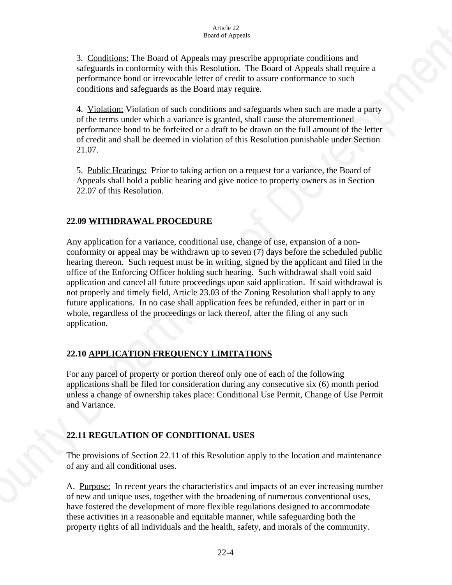3. Conditions: The Board of Appeals may prescribe appropriate conditions and safeguards in conformity with this Resolution. The Board of Appeals shall require a performance bond or irrevocable letter of credit to assure conformance to such conditions and safeguards as the Board may require.

4. Violation: Violation of such conditions and safeguards when such are made a party of the terms under which a variance is granted, shall cause the aforementioned performance bond to be forfeited or a draft to be drawn on the full amount of the letter of credit and shall be deemed in violation of this Resolution punishable under Section 21.07.

5. Public Hearings: Prior to taking action on a request for a variance, the Board of Appeals shall hold a public hearing and give notice to property owners as in Section 22.07 of this Resolution.

## **22.09 WITHDRAWAL PROCEDURE**

Any application for a variance, conditional use, change of use, expansion of a nonconformity or appeal may be withdrawn up to seven (7) days before the scheduled public hearing thereon. Such request must be in writing, signed by the applicant and filed in the office of the Enforcing Officer holding such hearing. Such withdrawal shall void said application and cancel all future proceedings upon said application. If said withdrawal is not properly and timely field, Article 23.03 of the Zoning Resolution shall apply to any future applications. In no case shall application fees be refunded, either in part or in whole, regardless of the proceedings or lack thereof, after the filing of any such application.

## **22.10 APPLICATION FREQUENCY LIMITATIONS**

For any parcel of property or portion thereof only one of each of the following applications shall be filed for consideration during any consecutive six (6) month period unless a change of ownership takes place: Conditional Use Permit, Change of Use Permit and Variance.

# **22.11 REGULATION OF CONDITIONAL USES**

The provisions of Section 22.11 of this Resolution apply to the location and maintenance of any and all conditional uses.

A. Purpose: In recent years the characteristics and impacts of an ever increasing number of new and unique uses, together with the broadening of numerous conventional uses, have fostered the development of more flexible regulations designed to accommodate these activities in a reasonable and equitable manner, while safeguarding both the property rights of all individuals and the health, safety, and morals of the community.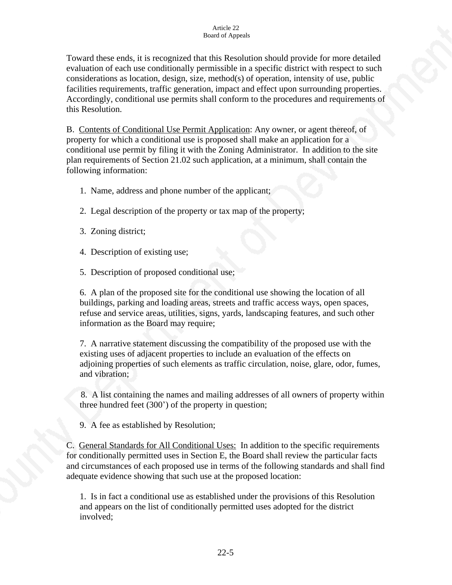Toward these ends, it is recognized that this Resolution should provide for more detailed evaluation of each use conditionally permissible in a specific district with respect to such considerations as location, design, size, method(s) of operation, intensity of use, public facilities requirements, traffic generation, impact and effect upon surrounding properties. Accordingly, conditional use permits shall conform to the procedures and requirements of this Resolution.

B. Contents of Conditional Use Permit Application: Any owner, or agent thereof, of property for which a conditional use is proposed shall make an application for a conditional use permit by filing it with the Zoning Administrator. In addition to the site plan requirements of Section 21.02 such application, at a minimum, shall contain the following information:

- 1. Name, address and phone number of the applicant;
- 2. Legal description of the property or tax map of the property;
- 3. Zoning district;
- 4. Description of existing use;

5. Description of proposed conditional use;

6. A plan of the proposed site for the conditional use showing the location of all buildings, parking and loading areas, streets and traffic access ways, open spaces, refuse and service areas, utilities, signs, yards, landscaping features, and such other information as the Board may require;

 7. A narrative statement discussing the compatibility of the proposed use with the existing uses of adjacent properties to include an evaluation of the effects on adjoining properties of such elements as traffic circulation, noise, glare, odor, fumes, and vibration;

 8. A list containing the names and mailing addresses of all owners of property within three hundred feet (300') of the property in question;

9. A fee as established by Resolution;

C. General Standards for All Conditional Uses: In addition to the specific requirements for conditionally permitted uses in Section E, the Board shall review the particular facts and circumstances of each proposed use in terms of the following standards and shall find adequate evidence showing that such use at the proposed location:

 1. Is in fact a conditional use as established under the provisions of this Resolution and appears on the list of conditionally permitted uses adopted for the district involved;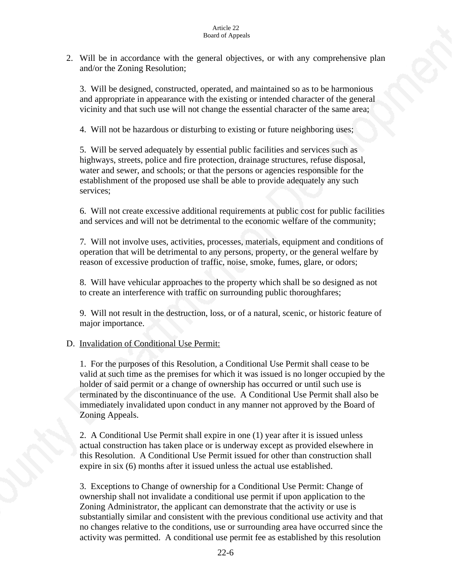#### Article 22 Board of Appeals

2. Will be in accordance with the general objectives, or with any comprehensive plan and/or the Zoning Resolution;

 3. Will be designed, constructed, operated, and maintained so as to be harmonious and appropriate in appearance with the existing or intended character of the general vicinity and that such use will not change the essential character of the same area;

4. Will not be hazardous or disturbing to existing or future neighboring uses;

5. Will be served adequately by essential public facilities and services such as highways, streets, police and fire protection, drainage structures, refuse disposal, water and sewer, and schools; or that the persons or agencies responsible for the establishment of the proposed use shall be able to provide adequately any such services;

6. Will not create excessive additional requirements at public cost for public facilities and services and will not be detrimental to the economic welfare of the community;

7*.* Will not involve uses, activities, processes, materials, equipment and conditions of operation that will be detrimental to any persons, property, or the general welfare by reason of excessive production of traffic, noise, smoke, fumes, glare, or odors;

8. Will have vehicular approaches to the property which shall be so designed as not to create an interference with traffic on surrounding public thoroughfares;

9. Will not result in the destruction, loss, or of a natural, scenic, or historic feature of major importance.

### D. Invalidation of Conditional Use Permit:

1. For the purposes of this Resolution, a Conditional Use Permit shall cease to be valid at such time as the premises for which it was issued is no longer occupied by the holder of said permit or a change of ownership has occurred or until such use is terminated by the discontinuance of the use. A Conditional Use Permit shall also be immediately invalidated upon conduct in any manner not approved by the Board of Zoning Appeals.

2. A Conditional Use Permit shall expire in one (1) year after it is issued unless actual construction has taken place or is underway except as provided elsewhere in this Resolution. A Conditional Use Permit issued for other than construction shall expire in six (6) months after it issued unless the actual use established.

3. Exceptions to Change of ownership for a Conditional Use Permit: Change of ownership shall not invalidate a conditional use permit if upon application to the Zoning Administrator, the applicant can demonstrate that the activity or use is substantially similar and consistent with the previous conditional use activity and that no changes relative to the conditions, use or surrounding area have occurred since the activity was permitted. A conditional use permit fee as established by this resolution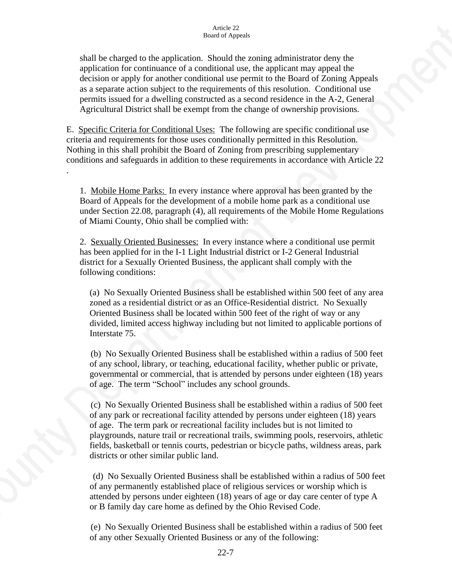shall be charged to the application. Should the zoning administrator deny the application for continuance of a conditional use, the applicant may appeal the decision or apply for another conditional use permit to the Board of Zoning Appeals as a separate action subject to the requirements of this resolution. Conditional use permits issued for a dwelling constructed as a second residence in the A-2, General Agricultural District shall be exempt from the change of ownership provisions.

E. Specific Criteria for Conditional Uses: The following are specific conditional use criteria and requirements for those uses conditionally permitted in this Resolution. Nothing in this shall prohibit the Board of Zoning from prescribing supplementary conditions and safeguards in addition to these requirements in accordance with Article 22

.

1. Mobile Home Parks: In every instance where approval has been granted by the Board of Appeals for the development of a mobile home park as a conditional use under Section 22.08, paragraph (4), all requirements of the Mobile Home Regulations of Miami County, Ohio shall be complied with:

2. Sexually Oriented Businesses: In every instance where a conditional use permit has been applied for in the I-1 Light Industrial district or I-2 General Industrial district for a Sexually Oriented Business, the applicant shall comply with the following conditions:

(a) No Sexually Oriented Business shall be established within 500 feet of any area zoned as a residential district or as an Office-Residential district. No Sexually Oriented Business shall be located within 500 feet of the right of way or any divided, limited access highway including but not limited to applicable portions of Interstate 75.

 (b) No Sexually Oriented Business shall be established within a radius of 500 feet of any school, library, or teaching, educational facility, whether public or private, governmental or commercial, that is attended by persons under eighteen (18) years of age. The term "School" includes any school grounds.

 (c) No Sexually Oriented Business shall be established within a radius of 500 feet of any park or recreational facility attended by persons under eighteen (18) years of age. The term park or recreational facility includes but is not limited to playgrounds, nature trail or recreational trails, swimming pools, reservoirs, athletic fields, basketball or tennis courts, pedestrian or bicycle paths, wildness areas, park districts or other similar public land.

(d) No Sexually Oriented Business shall be established within a radius of 500 feet of any permanently established place of religious services or worship which is attended by persons under eighteen (18) years of age or day care center of type A or B family day care home as defined by the Ohio Revised Code.

 (e) No Sexually Oriented Business shall be established within a radius of 500 feet of any other Sexually Oriented Business or any of the following: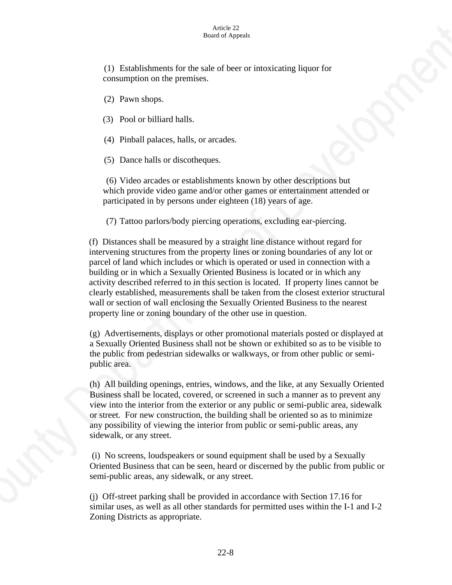#### Article 22 Board of Appeals

 (1) Establishments for the sale of beer or intoxicating liquor for consumption on the premises.

(2) Pawn shops.

(3) Pool or billiard halls.

(4) Pinball palaces, halls, or arcades.

(5) Dance halls or discotheques.

 (6) Video arcades or establishments known by other descriptions but which provide video game and/or other games or entertainment attended or participated in by persons under eighteen (18) years of age.

(7) Tattoo parlors/body piercing operations, excluding ear-piercing.

(f) Distances shall be measured by a straight line distance without regard for intervening structures from the property lines or zoning boundaries of any lot or parcel of land which includes or which is operated or used in connection with a building or in which a Sexually Oriented Business is located or in which any activity described referred to in this section is located. If property lines cannot be clearly established, measurements shall be taken from the closest exterior structural wall or section of wall enclosing the Sexually Oriented Business to the nearest property line or zoning boundary of the other use in question.

(g) Advertisements, displays or other promotional materials posted or displayed at a Sexually Oriented Business shall not be shown or exhibited so as to be visible to the public from pedestrian sidewalks or walkways, or from other public or semipublic area.

(h) All building openings, entries, windows, and the like, at any Sexually Oriented Business shall be located, covered, or screened in such a manner as to prevent any view into the interior from the exterior or any public or semi-public area, sidewalk or street. For new construction, the building shall be oriented so as to minimize any possibility of viewing the interior from public or semi-public areas, any sidewalk, or any street.

 (i) No screens, loudspeakers or sound equipment shall be used by a Sexually Oriented Business that can be seen, heard or discerned by the public from public or semi-public areas, any sidewalk, or any street.

(j) Off-street parking shall be provided in accordance with Section 17.16 for similar uses, as well as all other standards for permitted uses within the I-1 and I-2 Zoning Districts as appropriate.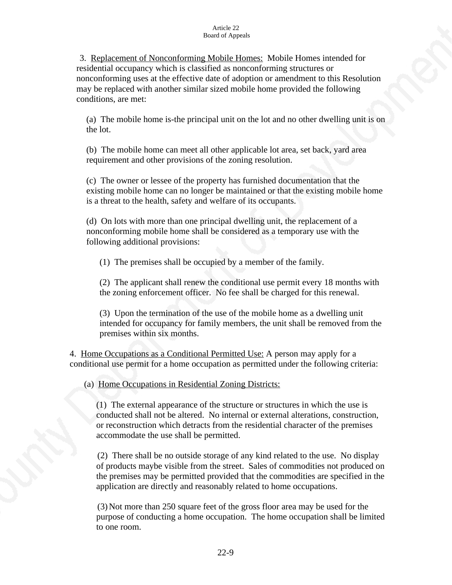#### Article 22 Board of Appeals

 3. Replacement of Nonconforming Mobile Homes: Mobile Homes intended for residential occupancy which is classified as nonconforming structures or nonconforming uses at the effective date of adoption or amendment to this Resolution may be replaced with another similar sized mobile home provided the following conditions, are met:

(a) The mobile home is-the principal unit on the lot and no other dwelling unit is on the lot.

(b) The mobile home can meet all other applicable lot area, set back, yard area requirement and other provisions of the zoning resolution.

(c) The owner or lessee of the property has furnished documentation that the existing mobile home can no longer be maintained or that the existing mobile home is a threat to the health, safety and welfare of its occupants.

 (d) On lots with more than one principal dwelling unit, the replacement of a nonconforming mobile home shall be considered as a temporary use with the following additional provisions:

(1) The premises shall be occupied by a member of the family.

(2) The applicant shall renew the conditional use permit every 18 months with the zoning enforcement officer. No fee shall be charged for this renewal.

 (3) Upon the termination of the use of the mobile home as a dwelling unit intended for occupancy for family members, the unit shall be removed from the premises within six months.

4. Home Occupations as a Conditional Permitted Use: A person may apply for a conditional use permit for a home occupation as permitted under the following criteria:

(a) Home Occupations in Residential Zoning Districts:

(1) The external appearance of the structure or structures in which the use is conducted shall not be altered. No internal or external alterations, construction, or reconstruction which detracts from the residential character of the premises accommodate the use shall be permitted.

 (2) There shall be no outside storage of any kind related to the use. No display of products maybe visible from the street. Sales of commodities not produced on the premises may be permitted provided that the commodities are specified in the application are directly and reasonably related to home occupations.

 (3)Not more than 250 square feet of the gross floor area may be used for the purpose of conducting a home occupation. The home occupation shall be limited to one room.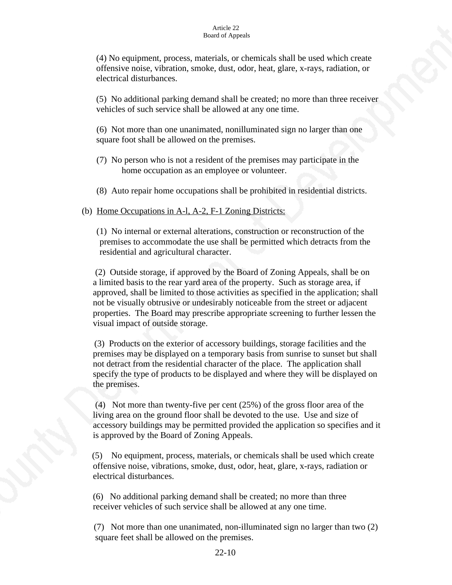(4) No equipment, process, materials, or chemicals shall be used which create offensive noise, vibration, smoke, dust, odor, heat, glare, x-rays, radiation, or electrical disturbances.

(5) No additional parking demand shall be created; no more than three receiver vehicles of such service shall be allowed at any one time.

 (6) Not more than one unanimated, nonilluminated sign no larger than one square foot shall be allowed on the premises.

- (7) No person who is not a resident of the premises may participate in the home occupation as an employee or volunteer.
- (8) Auto repair home occupations shall be prohibited in residential districts.

(b) Home Occupations in A-l, A-2, F-1 Zoning Districts:

 (1) No internal or external alterations, construction or reconstruction of the premises to accommodate the use shall be permitted which detracts from the residential and agricultural character.

 (2) Outside storage, if approved by the Board of Zoning Appeals, shall be on a limited basis to the rear yard area of the property. Such as storage area, if approved, shall be limited to those activities as specified in the application; shall not be visually obtrusive or undesirably noticeable from the street or adjacent properties. The Board may prescribe appropriate screening to further lessen the visual impact of outside storage.

 (3) Products on the exterior of accessory buildings, storage facilities and the premises may be displayed on a temporary basis from sunrise to sunset but shall not detract from the residential character of the place. The application shall specify the type of products to be displayed and where they will be displayed on the premises.

 (4) Not more than twenty-five per cent (25%) of the gross floor area of the living area on the ground floor shall be devoted to the use. Use and size of accessory buildings may be permitted provided the application so specifies and it is approved by the Board of Zoning Appeals.

 (5) No equipment, process, materials, or chemicals shall be used which create offensive noise, vibrations, smoke, dust, odor, heat, glare, x-rays, radiation or electrical disturbances.

 (6) No additional parking demand shall be created; no more than three receiver vehicles of such service shall be allowed at any one time.

 (7) Not more than one unanimated, non-illuminated sign no larger than two (2) square feet shall be allowed on the premises.